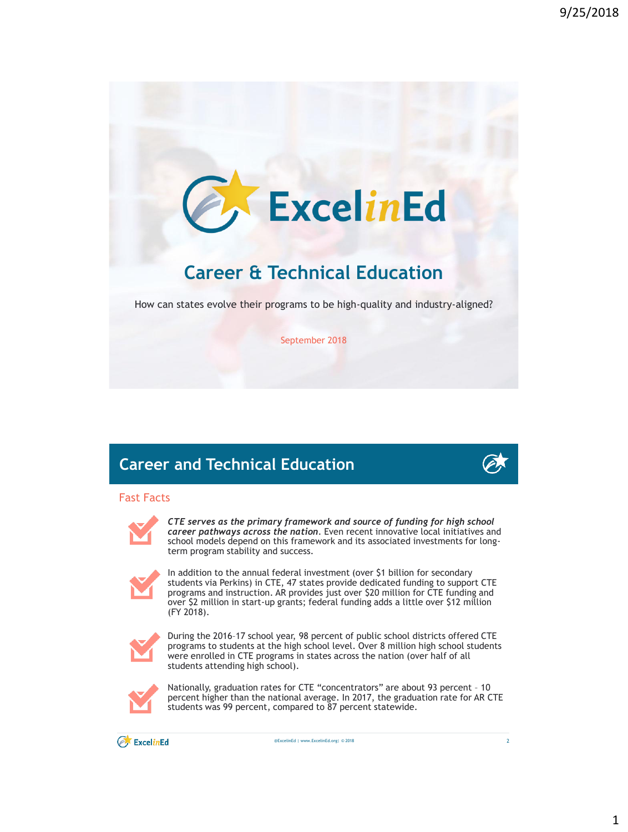

September 2018

# **Career and Technical Education**

### Fast Facts



*CTE serves as the primary framework and source of funding for high school career pathways across the nation*. Even recent innovative local initiatives and school models depend on this framework and its associated investments for longterm program stability and success.



In addition to the annual federal investment (over \$1 billion for secondary students via Perkins) in CTE, 47 states provide dedicated funding to support CTE programs and instruction. AR provides just over \$20 million for CTE funding and over \$2 million in start-up grants; federal funding adds a little over \$12 million (FY 2018).



During the 2016–17 school year, 98 percent of public school districts offered CTE programs to students at the high school level. Over 8 million high school students were enrolled in CTE programs in states across the nation (over half of all students attending high school).



Nationally, graduation rates for CTE "concentrators" are about 93 percent – 10 percent higher than the national average. In 2017, the graduation rate for AR CTE students was 99 percent, compared to 87 percent statewide.

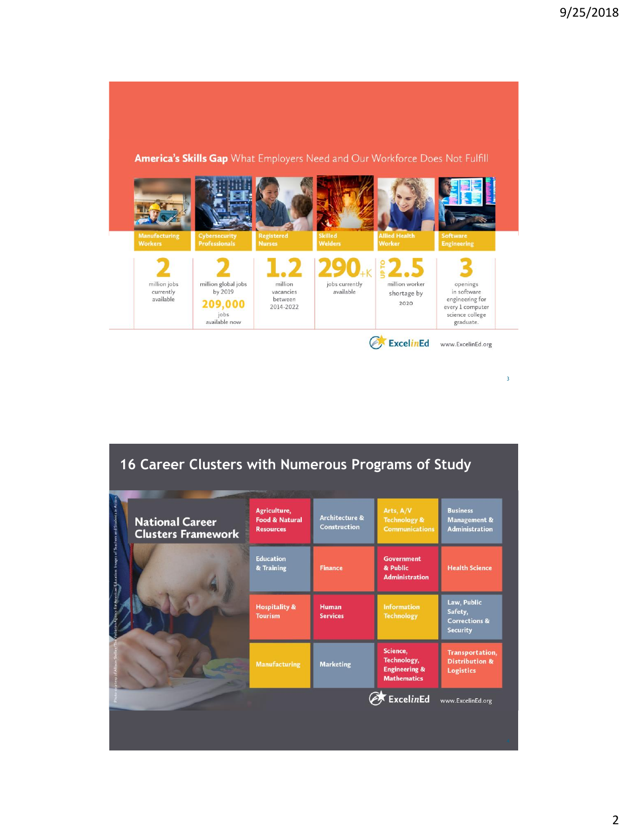

3

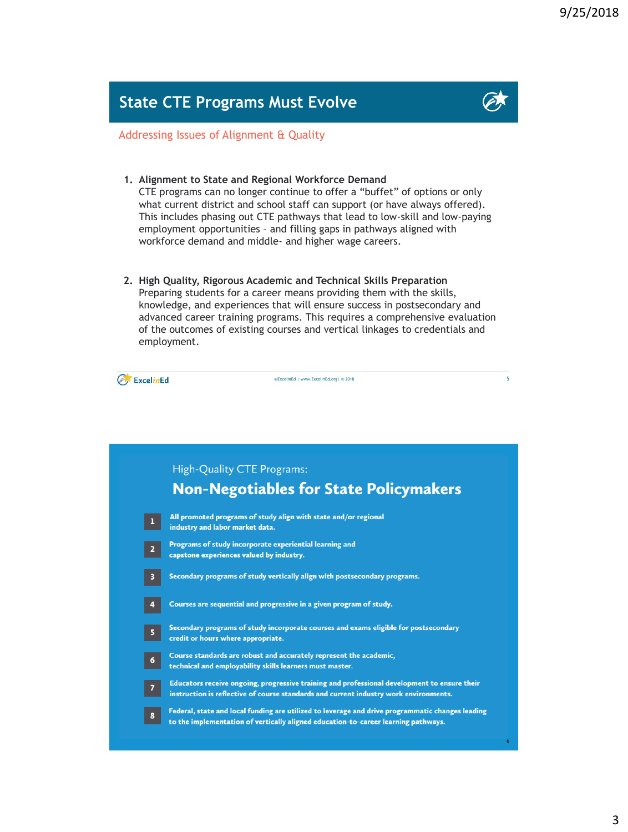## **State CTE Programs Must Evolve**



5

Addressing Issues of Alignment & Quality

**1. Alignment to State and Regional Workforce Demand**

CTE programs can no longer continue to offer a "buffet" of options or only what current district and school staff can support (or have always offered). This includes phasing out CTE pathways that lead to low-skill and low-paying employment opportunities – and filling gaps in pathways aligned with workforce demand and middle- and higher wage careers.

**2. High Quality, Rigorous Academic and Technical Skills Preparation** Preparing students for a career means providing them with the skills, knowledge, and experiences that will ensure success in postsecondary and advanced career training programs. This requires a comprehensive evaluation of the outcomes of existing courses and vertical linkages to credentials and employment.

@ExcelinEd | www.ExcelinEd.org| © 2018

ExcelinEd

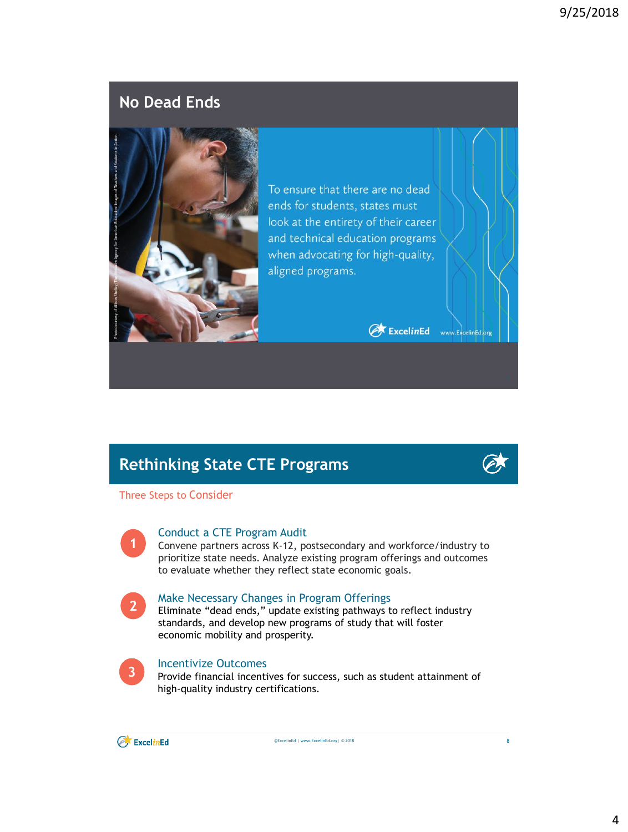### **No Dead Ends**



To ensure that there are no dead ends for students, states must look at the entirety of their career and technical education programs when advocating for high-quality, aligned programs.

ExcelinEd www.ExcelinEd.org

# **Rethinking State CTE Programs**

Three Steps to Consider



#### Conduct a CTE Program Audit

Convene partners across K-12, postsecondary and workforce/industry to prioritize state needs. Analyze existing program offerings and outcomes to evaluate whether they reflect state economic goals.



#### Make Necessary Changes in Program Offerings

Eliminate "dead ends," update existing pathways to reflect industry standards, and develop new programs of study that will foster economic mobility and prosperity.



#### Incentivize Outcomes

Provide financial incentives for success, such as student attainment of high-quality industry certifications.



@ExcelinEd | www.ExcelinEd.org| © 2018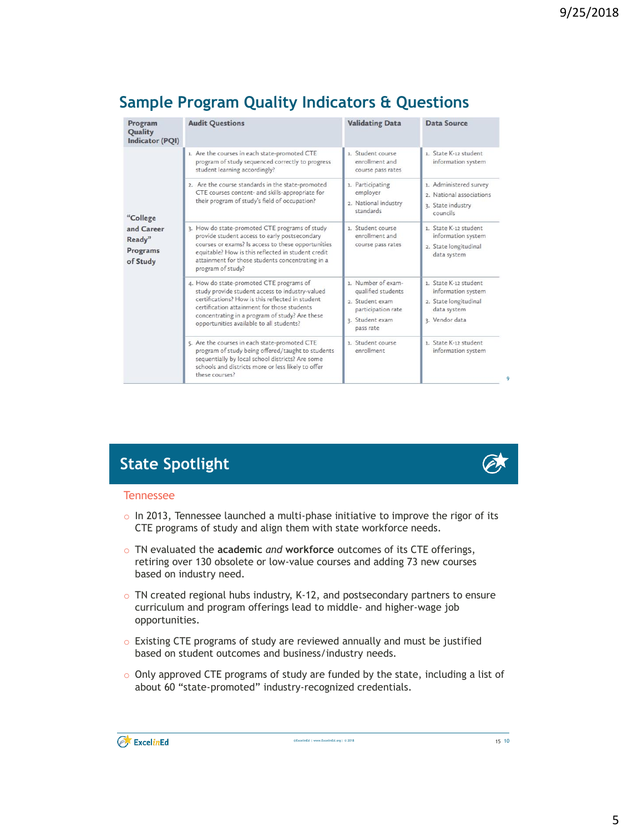# **Sample Program Quality Indicators & Questions**

| Program<br>Quality<br>Indicator (PQI)                    | <b>Audit Questions</b>                                                                                                                                                                                                                                                                       | <b>Validating Data</b>                                                                                            | Data Source                                                                                           |
|----------------------------------------------------------|----------------------------------------------------------------------------------------------------------------------------------------------------------------------------------------------------------------------------------------------------------------------------------------------|-------------------------------------------------------------------------------------------------------------------|-------------------------------------------------------------------------------------------------------|
| "College<br>and Career<br>Ready"<br>Programs<br>of Study | 1. Are the courses in each state-promoted CTE<br>program of study sequenced correctly to progress<br>student learning accordingly?                                                                                                                                                           | 1. Student course<br>enrollment and<br>course pass rates                                                          | 1. State K-12 student<br>information system                                                           |
|                                                          | 2. Are the course standards in the state-promoted<br>CTE courses content- and skills-appropriate for<br>their program of study's field of occupation?                                                                                                                                        | 1. Participating<br>employer<br>2. National industry<br>standards                                                 | 1. Administered survey<br>2. National associations<br>3. State industry<br>councils                   |
|                                                          | 3. How do state-promoted CTE programs of study<br>provide student access to early postsecondary<br>courses or exams? Is access to these opportunities<br>equitable? How is this reflected in student credit<br>attainment for those students concentrating in a<br>program of study?         | 1. Student course<br>enrollment and<br>course pass rates                                                          | 1. State K-12 student<br>information system<br>2. State longitudinal<br>data system                   |
|                                                          | 4. How do state-promoted CTE programs of<br>study provide student access to industry-valued<br>certifications? How is this reflected in student<br>certification attainment for those students<br>concentrating in a program of study? Are these<br>opportunities available to all students? | 1. Number of exam-<br>qualified students<br>2. Student exam<br>participation rate<br>3. Student exam<br>pass rate | 1. State K-12 student<br>information system<br>2. State longitudinal<br>data system<br>3. Vendor data |
|                                                          | 5. Are the courses in each state-promoted CTE<br>program of study being offered/taught to students<br>sequentially by local school districts? Are some<br>schools and districts more or less likely to offer<br>these courses?                                                               | 1. Student course<br>enrollment                                                                                   | 1. State K-12 student<br>information system                                                           |



 $\alpha$ 

# **State Spotlight**

#### Tennessee

- $\circ$  In 2013, Tennessee launched a multi-phase initiative to improve the rigor of its CTE programs of study and align them with state workforce needs.
- o TN evaluated the **academic** *and* **workforce** outcomes of its CTE offerings, retiring over 130 obsolete or low-value courses and adding 73 new courses based on industry need.
- o TN created regional hubs industry, K-12, and postsecondary partners to ensure curriculum and program offerings lead to middle- and higher-wage job opportunities.
- o Existing CTE programs of study are reviewed annually and must be justified based on student outcomes and business/industry needs.
- $\circ$  Only approved CTE programs of study are funded by the state, including a list of about 60 "state-promoted" industry-recognized credentials.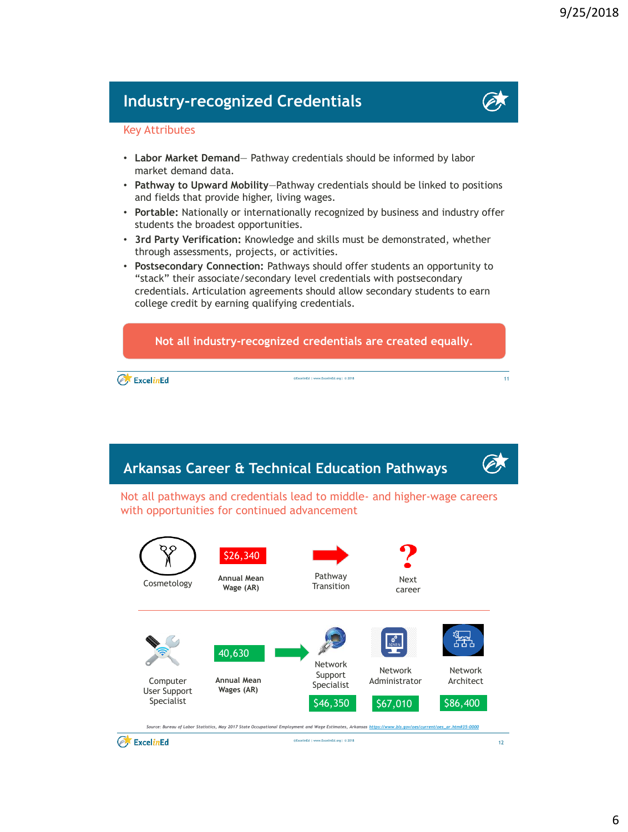### **Industry-recognized Credentials**



#### Key Attributes

- **Labor Market Demand** Pathway credentials should be informed by labor market demand data.
- **Pathway to Upward Mobility**—Pathway credentials should be linked to positions and fields that provide higher, living wages.
- **Portable:** Nationally or internationally recognized by business and industry offer students the broadest opportunities.
- **3rd Party Verification:** Knowledge and skills must be demonstrated, whether through assessments, projects, or activities.
- **Postsecondary Connection:** Pathways should offer students an opportunity to "stack" their associate/secondary level credentials with postsecondary credentials. Articulation agreements should allow secondary students to earn college credit by earning qualifying credentials.



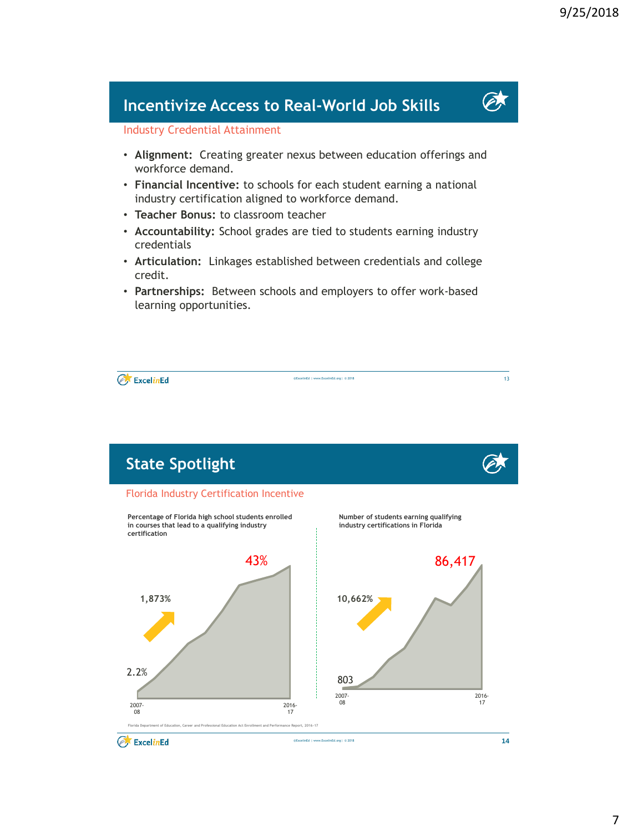### **Incentivize Access to Real-World Job Skills**

### Industry Credential Attainment

- **Alignment:** Creating greater nexus between education offerings and workforce demand.
- **Financial Incentive:** to schools for each student earning a national industry certification aligned to workforce demand.
- **Teacher Bonus:** to classroom teacher
- **Accountability:** School grades are tied to students earning industry credentials
- **Articulation:** Linkages established between credentials and college credit.
- **Partnerships:** Between schools and employers to offer work-based learning opportunities.

@ExcelinEd | www.ExcelinEd.org| © 2018

2.2% 43% 2007- 08 2016- 17 **1,873% The Incentive Works – Florida** Florida Industry Certification Incentive 803 86,417 2007- 08 2016- 17 **10,662% Percentage of Florida high school students enrolled in courses that lead to a qualifying industry certification Number of students earning qualifying industry certifications in Florida State Spotlight**

ExcelinEd

ExcelinEd

**Florida Department of Education, Career and Professional Education Act Enrollment and Performance Report, 2016-17**

@ExcelinEd | www.ExcelinEd.org| © 2018

**14**



13